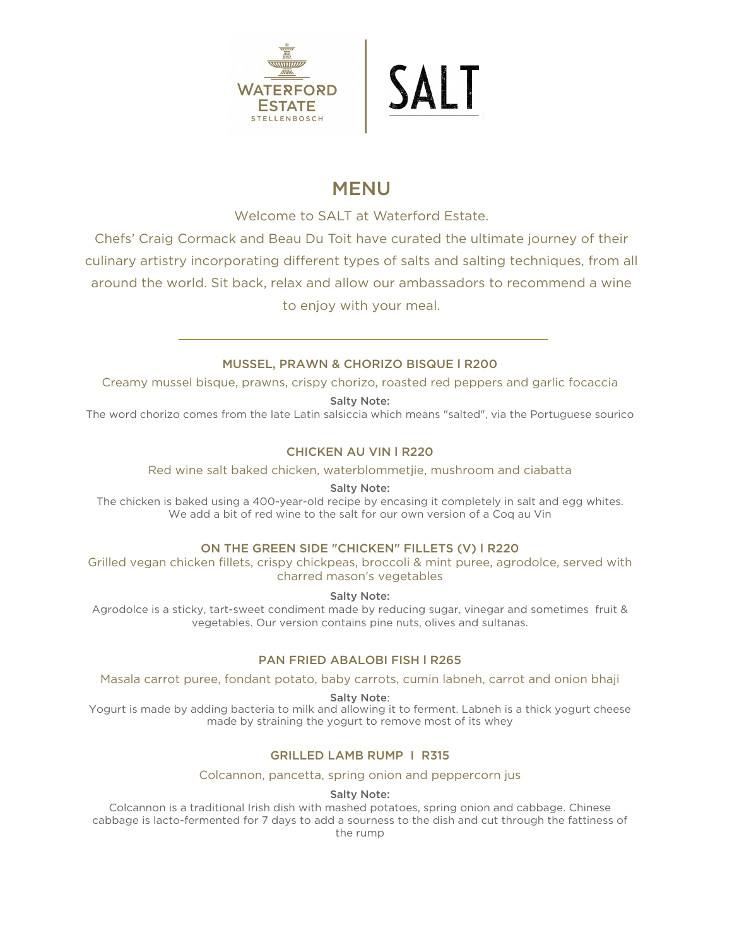

# MENU

Welcome to SALT at Waterford Estate.

Chefs' Craig Cormack and Beau Du Toit have curated the ultimate journey of their culinary artistry incorporating different types of salts and salting techniques, from all around the world. Sit back, relax and allow our ambassadors to recommend a wine to enjoy with your meal.

# MUSSEL, PRAWN & CHORIZO BISQUE l R200

Creamy mussel bisque, prawns, crispy chorizo, roasted red peppers and garlic focaccia

Salty Note:

The word chorizo comes from the late Latin salsiccia which means "salted", via the Portuguese sourico

# CHICKEN AU VIN l R220

Red wine salt baked chicken, waterblommetjie, mushroom and ciabatta

Salty Note:

The chicken is baked using a 400-year-old recipe by encasing it completely in salt and egg whites. We add a bit of red wine to the salt for our own version of a Coq au Vin

# ON THE GREEN SIDE "CHICKEN" FILLETS (V) l R220

Grilled vegan chicken fillets, crispy chickpeas, broccoli & mint puree, agrodolce, served with charred mason's vegetables

Salty Note:

Agrodolce is a sticky, tart-sweet condiment made by reducing sugar, vinegar and sometimes fruit & vegetables. Our version contains pine nuts, olives and sultanas.

### PAN FRIED ABALOBI FISH l R265

Masala carrot puree, fondant potato, baby carrots, cumin labneh, carrot and onion bhaji

Salty Note:

Yogurt is made by adding bacteria to milk and allowing it to ferment. Labneh is a thick yogurt cheese made by straining the yogurt to remove most of its whey

# GRILLED LAMB RUMP I R315

Colcannon, pancetta, spring onion and peppercorn jus

Salty Note:

Colcannon is a traditional Irish dish with mashed potatoes, spring onion and cabbage. Chinese cabbage is lacto-fermented for 7 days to add a sourness to the dish and cut through the fattiness of the rump